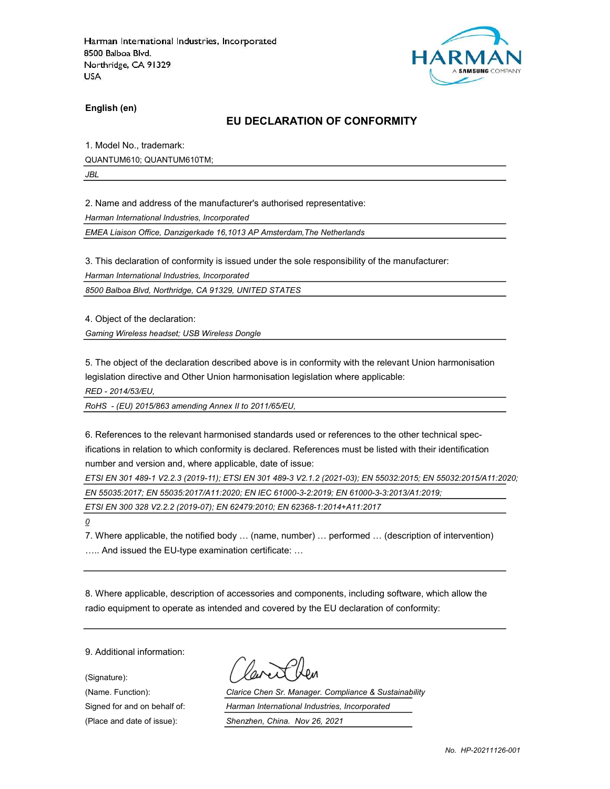

English (en)

### EU DECLARATION OF CONFORMITY

1. Model No., trademark: QUANTUM610; QUANTUM610TM;

JBL

2. Name and address of the manufacturer's authorised representative:

Harman International Industries, Incorporated

EMEA Liaison Office, Danzigerkade 16,1013 AP Amsterdam,The Netherlands

3. This declaration of conformity is issued under the sole responsibility of the manufacturer:

Harman International Industries, Incorporated

8500 Balboa Blvd, Northridge, CA 91329, UNITED STATES

4. Object of the declaration:

Gaming Wireless headset; USB Wireless Dongle

5. The object of the declaration described above is in conformity with the relevant Union harmonisation legislation directive and Other Union harmonisation legislation where applicable:

RED - 2014/53/EU,

RoHS - (EU) 2015/863 amending Annex II to 2011/65/EU,

6. References to the relevant harmonised standards used or references to the other technical specifications in relation to which conformity is declared. References must be listed with their identification number and version and, where applicable, date of issue:

ETSI EN 301 489-1 V2.2.3 (2019-11); ETSI EN 301 489-3 V2.1.2 (2021-03); EN 55032:2015; EN 55032:2015/A11:2020; EN 55035:2017; EN 55035:2017/A11:2020; EN IEC 61000-3-2:2019; EN 61000-3-3:2013/A1:2019;

ETSI EN 300 328 V2.2.2 (2019-07); EN 62479:2010; EN 62368-1:2014+A11:2017

 $\overline{\mathcal{Q}}$ 

7. Where applicable, the notified body … (name, number) … performed … (description of intervention) ….. And issued the EU-type examination certificate: …

8. Where applicable, description of accessories and components, including software, which allow the radio equipment to operate as intended and covered by the EU declaration of conformity:

9. Additional information:

(Signature):

(Name. Function): Clarice Chen Sr. Manager. Compliance & Sustainability Signed for and on behalf of: Harman International Industries, Incorporated (Place and date of issue): Shenzhen, China. Nov 26, 2021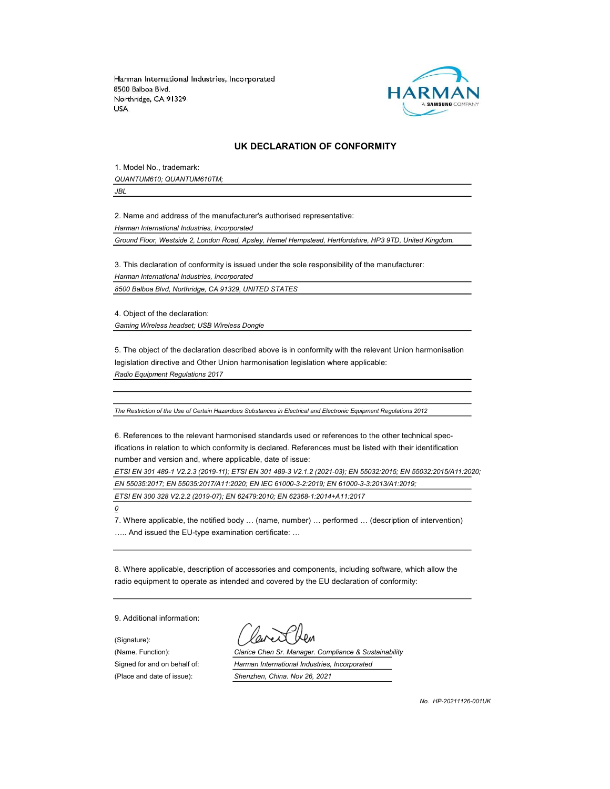

#### UK DECLARATION OF CONFORMITY

1. Model No., trademark: QUANTUM610; QUANTUM610TM;

JBL

2. Name and address of the manufacturer's authorised representative:

Harman International Industries, Incorporated

Ground Floor, Westside 2, London Road, Apsley, Hemel Hempstead, Hertfordshire, HP3 9TD, United Kingdom.

3. This declaration of conformity is issued under the sole responsibility of the manufacturer:

Harman International Industries, Incorporated

8500 Balboa Blvd, Northridge, CA 91329, UNITED STATES

4. Object of the declaration:

Gaming Wireless headset; USB Wireless Dongle

5. The object of the declaration described above is in conformity with the relevant Union harmonisation legislation directive and Other Union harmonisation legislation where applicable: Radio Equipment Regulations 2017

The Restriction of the Use of Certain Hazardous Substances in Electrical and Electronic Equipment Regulations 2012

6. References to the relevant harmonised standards used or references to the other technical specifications in relation to which conformity is declared. References must be listed with their identification number and version and, where applicable, date of issue:

ETSI EN 301 489-1 V2.2.3 (2019-11); ETSI EN 301 489-3 V2.1.2 (2021-03); EN 55032:2015; EN 55032:2015/A11:2020; EN 55035:2017; EN 55035:2017/A11:2020; EN IEC 61000-3-2:2019; EN 61000-3-3:2013/A1:2019;

ETSI EN 300 328 V2.2.2 (2019-07); EN 62479:2010; EN 62368-1:2014+A11:2017

 $\mathcal Q$ 

7. Where applicable, the notified body … (name, number) … performed … (description of intervention) ….. And issued the EU-type examination certificate: …

8. Where applicable, description of accessories and components, including software, which allow the radio equipment to operate as intended and covered by the EU declaration of conformity:

9. Additional information:

(Signature): (Place and date of issue): Shenzhen, China. Nov 26, 2021

(Name. Function): Clarice Chen Sr. Manager. Compliance & Sustainability Signed for and on behalf of: Harman International Industries, Incorporated

No. HP-20211126-001UK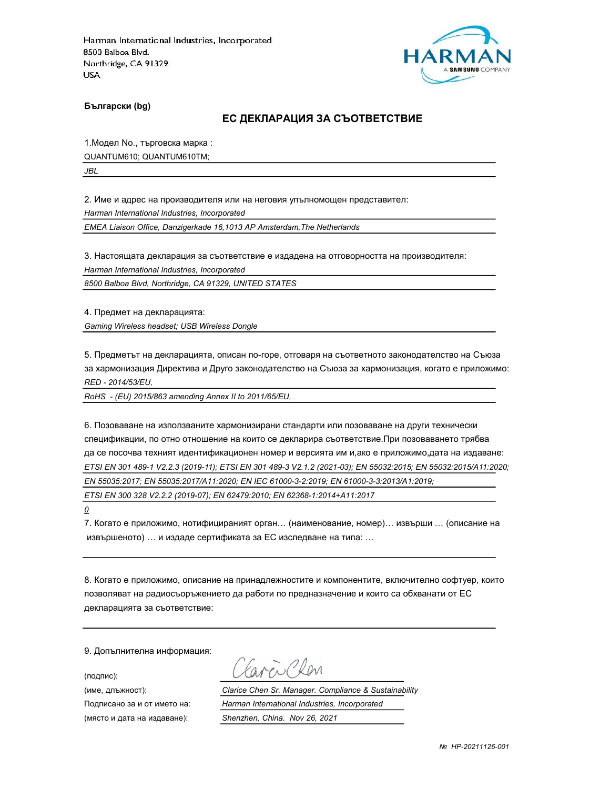

Български (bg)

#### ЕС ДЕКЛАРАЦИЯ ЗА СЪОТВЕТСТВИЕ

1.Модел No., търговска марка :

QUANTUM610; QUANTUM610TM;

JBL

2. Име и адрес на производителя или на неговия упълномощен представител:

Harman International Industries, Incorporated

EMEA Liaison Office, Danzigerkade 16,1013 AP Amsterdam,The Netherlands

3. Настоящата декларация за съответствие е издадена на отговорността на производителя:

Harman International Industries, Incorporated

8500 Balboa Blvd, Northridge, CA 91329, UNITED STATES

4. Предмет на декларацията: Gaming Wireless headset; USB Wireless Dongle

5. Предметът на декларацията, описан по-горе, отговаря на съответното законодателство на Съюза за хармонизация Директива и Друго законодателство на Съюза за хармонизация, когато е приложимо: RED - 2014/53/EU,

RoHS - (EU) 2015/863 amending Annex II to 2011/65/EU,

6. Позоваване на използваните хармонизирани стандарти или позоваване на други технически спецификации, по отно отношение на които се декларира съответствие.При позоваването трябва да се посочва техният идентификационен номер и версията им и,ако е приложимо,дата на издаване: ETSI EN 301 489-1 V2.2.3 (2019-11); ETSI EN 301 489-3 V2.1.2 (2021-03); EN 55032:2015; EN 55032:2015/A11:2020; EN 55035:2017; EN 55035:2017/A11:2020; EN IEC 61000-3-2:2019; EN 61000-3-3:2013/A1:2019; ETSI EN 300 328 V2.2.2 (2019-07); EN 62479:2010; EN 62368-1:2014+A11:2017

0

7. Когато е приложимо, нотифицираният орган… (наименование, номер)… извърши … (описание на извършеното) … и издаде сертификата за ЕС изследване на типа: …

8. Когато е приложимо, описание на принадлежностите и компонентите, включително софтуер, които позволяват на радиосъоръжението да работи по предназначение и които са обхванати от ЕС декларацията за съответствие:

9. Допълнителна информация:

(подпис):

Earen Clen

(име, длъжност): Clarice Chen Sr. Manager. Compliance & Sustainability Подписано за и от името на: Harman International Industries, Incorporated (място и дата на издаване): Shenzhen, China. Nov 26, 2021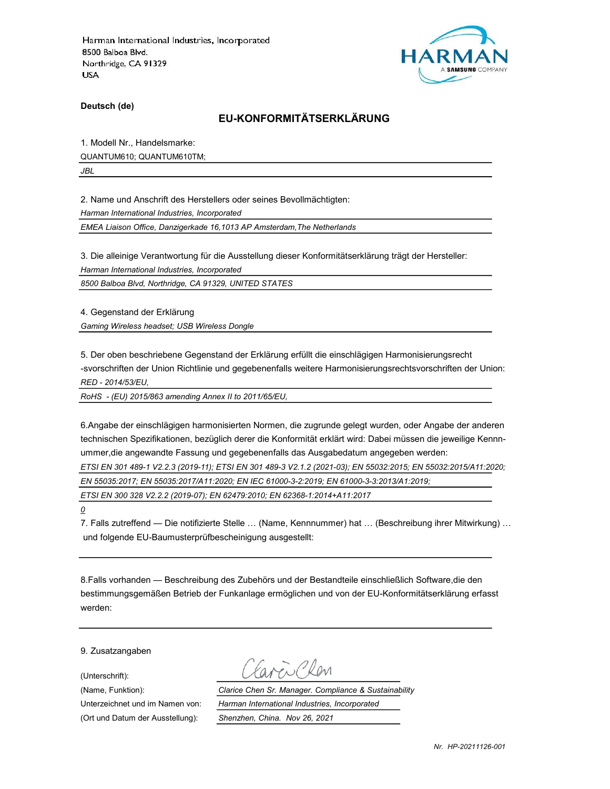

Deutsch (de)

# EU-KONFORMITÄTSERKLÄRUNG

1. Modell Nr., Handelsmarke:

QUANTUM610; QUANTUM610TM;

JBL

2. Name und Anschrift des Herstellers oder seines Bevollmächtigten:

Harman International Industries, Incorporated

EMEA Liaison Office, Danzigerkade 16,1013 AP Amsterdam,The Netherlands

3. Die alleinige Verantwortung für die Ausstellung dieser Konformitätserklärung trägt der Hersteller:

Harman International Industries, Incorporated

8500 Balboa Blvd, Northridge, CA 91329, UNITED STATES

4. Gegenstand der Erklärung Gaming Wireless headset; USB Wireless Dongle

5. Der oben beschriebene Gegenstand der Erklärung erfüllt die einschlägigen Harmonisierungsrecht -svorschriften der Union Richtlinie und gegebenenfalls weitere Harmonisierungsrechtsvorschriften der Union: RED - 2014/53/EU,

RoHS - (EU) 2015/863 amending Annex II to 2011/65/EU,

6.Angabe der einschlägigen harmonisierten Normen, die zugrunde gelegt wurden, oder Angabe der anderen technischen Spezifikationen, bezüglich derer die Konformität erklärt wird: Dabei müssen die jeweilige Kennnummer,die angewandte Fassung und gegebenenfalls das Ausgabedatum angegeben werden:

ETSI EN 301 489-1 V2.2.3 (2019-11); ETSI EN 301 489-3 V2.1.2 (2021-03); EN 55032:2015; EN 55032:2015/A11:2020;

EN 55035:2017; EN 55035:2017/A11:2020; EN IEC 61000-3-2:2019; EN 61000-3-3:2013/A1:2019;

ETSI EN 300 328 V2.2.2 (2019-07); EN 62479:2010; EN 62368-1:2014+A11:2017

0

7. Falls zutreffend — Die notifizierte Stelle … (Name, Kennnummer) hat … (Beschreibung ihrer Mitwirkung) … und folgende EU-Baumusterprüfbescheinigung ausgestellt:

8.Falls vorhanden — Beschreibung des Zubehörs und der Bestandteile einschließlich Software,die den bestimmungsgemäßen Betrieb der Funkanlage ermöglichen und von der EU-Konformitätserklärung erfasst werden:

9. Zusatzangaben

(Unterschrift):

(Ort und Datum der Ausstellung): Shenzhen, China. Nov 26, 2021

Favor Clen

(Name, Funktion): Clarice Chen Sr. Manager. Compliance & Sustainability Unterzeichnet und im Namen von: Harman International Industries, Incorporated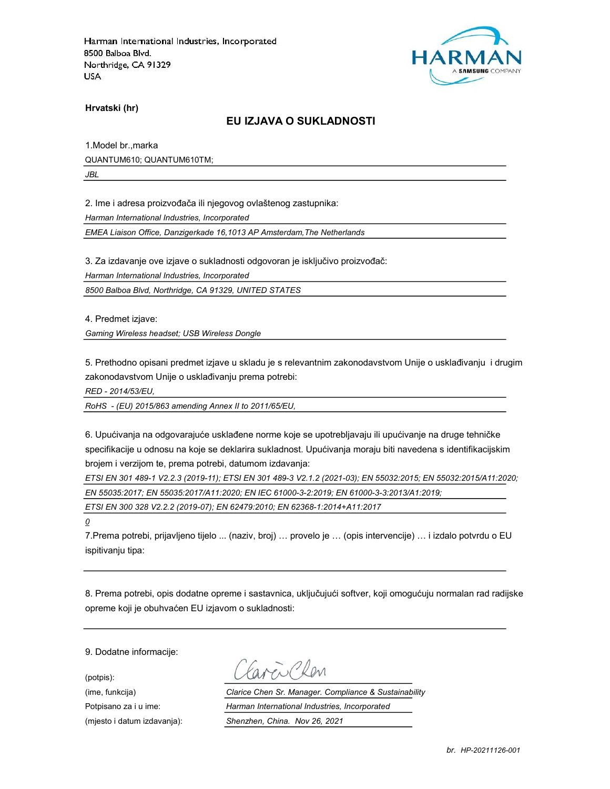

Hrvatski (hr)

### EU IZJAVA O SUKLADNOSTI

1.Model br.,marka QUANTUM610; QUANTUM610TM;

JBL

2. Ime i adresa proizvođača ili njegovog ovlaštenog zastupnika:

Harman International Industries, Incorporated

EMEA Liaison Office, Danzigerkade 16,1013 AP Amsterdam,The Netherlands

3. Za izdavanje ove izjave o sukladnosti odgovoran je isključivo proizvođač:

Harman International Industries, Incorporated

8500 Balboa Blvd, Northridge, CA 91329, UNITED STATES

4. Predmet izjave:

Gaming Wireless headset; USB Wireless Dongle

5. Prethodno opisani predmet izjave u skladu je s relevantnim zakonodavstvom Unije o usklađivanju i drugim zakonodavstvom Unije o usklađivanju prema potrebi:

RED - 2014/53/EU,

RoHS - (EU) 2015/863 amending Annex II to 2011/65/EU,

6. Upućivanja na odgovarajuće usklađene norme koje se upotrebljavaju ili upućivanje na druge tehničke specifikacije u odnosu na koje se deklarira sukladnost. Upućivanja moraju biti navedena s identifikacijskim brojem i verzijom te, prema potrebi, datumom izdavanja:

ETSI EN 301 489-1 V2.2.3 (2019-11); ETSI EN 301 489-3 V2.1.2 (2021-03); EN 55032:2015; EN 55032:2015/A11:2020; EN 55035:2017; EN 55035:2017/A11:2020; EN IEC 61000-3-2:2019; EN 61000-3-3:2013/A1:2019;

ETSI EN 300 328 V2.2.2 (2019-07); EN 62479:2010; EN 62368-1:2014+A11:2017

 $\overline{\mathcal{Q}}$ 

7.Prema potrebi, prijavljeno tijelo ... (naziv, broj) … provelo je … (opis intervencije) … i izdalo potvrdu o EU ispitivanju tipa:

8. Prema potrebi, opis dodatne opreme i sastavnica, uključujući softver, koji omogućuju normalan rad radijske opreme koji je obuhvaćen EU izjavom o sukladnosti:

9. Dodatne informacije:

(potpis):

aveillen

(ime, funkcija) Clarice Chen Sr. Manager. Compliance & Sustainability Potpisano za i u ime: <br>
Harman International Industries, Incorporated (mjesto i datum izdavanja): Shenzhen, China. Nov 26, 2021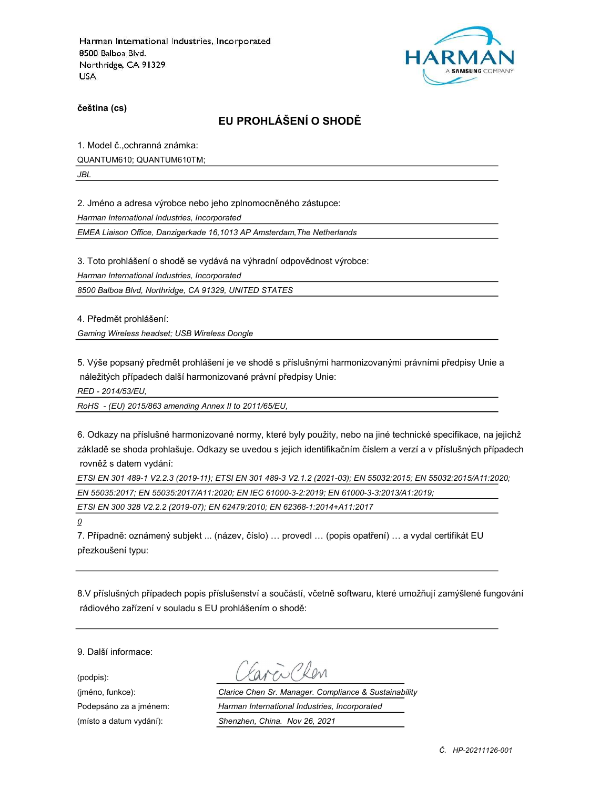

čeština (cs)

# EU PROHLÁŠENÍ O SHODĚ

1. Model č.,ochranná známka:

QUANTUM610; QUANTUM610TM;

JBL

2. Jméno a adresa výrobce nebo jeho zplnomocněného zástupce:

Harman International Industries, Incorporated

EMEA Liaison Office, Danzigerkade 16,1013 AP Amsterdam,The Netherlands

3. Toto prohlášení o shodě se vydává na výhradní odpovědnost výrobce:

Harman International Industries, Incorporated

8500 Balboa Blvd, Northridge, CA 91329, UNITED STATES

4. Předmět prohlášení:

Gaming Wireless headset; USB Wireless Dongle

5. Výše popsaný předmět prohlášení je ve shodě s příslušnými harmonizovanými právními předpisy Unie a náležitých případech další harmonizované právní předpisy Unie:

RED - 2014/53/EU,

RoHS - (EU) 2015/863 amending Annex II to 2011/65/EU,

6. Odkazy na příslušné harmonizované normy, které byly použity, nebo na jiné technické specifikace, na jejichž základě se shoda prohlašuje. Odkazy se uvedou s jejich identifikačním číslem a verzí a v příslušných případech rovněž s datem vydání:

ETSI EN 301 489-1 V2.2.3 (2019-11); ETSI EN 301 489-3 V2.1.2 (2021-03); EN 55032:2015; EN 55032:2015/A11:2020; EN 55035:2017; EN 55035:2017/A11:2020; EN IEC 61000-3-2:2019; EN 61000-3-3:2013/A1:2019;

ETSI EN 300 328 V2.2.2 (2019-07); EN 62479:2010; EN 62368-1:2014+A11:2017

 $\overline{\mathcal{Q}}$ 

7. Případně: oznámený subjekt ... (název, číslo) … provedl … (popis opatření) … a vydal certifikát EU přezkoušení typu:

8.V příslušných případech popis příslušenství a součástí, včetně softwaru, které umožňují zamýšlené fungování rádiového zařízení v souladu s EU prohlášením o shodě:

9. Další informace:

(podpis):

(jméno, funkce): Clarice Chen Sr. Manager. Compliance & Sustainability Podepsáno za a jménem: Harman International Industries, Incorporated (místo a datum vydání): Shenzhen, China. Nov 26, 2021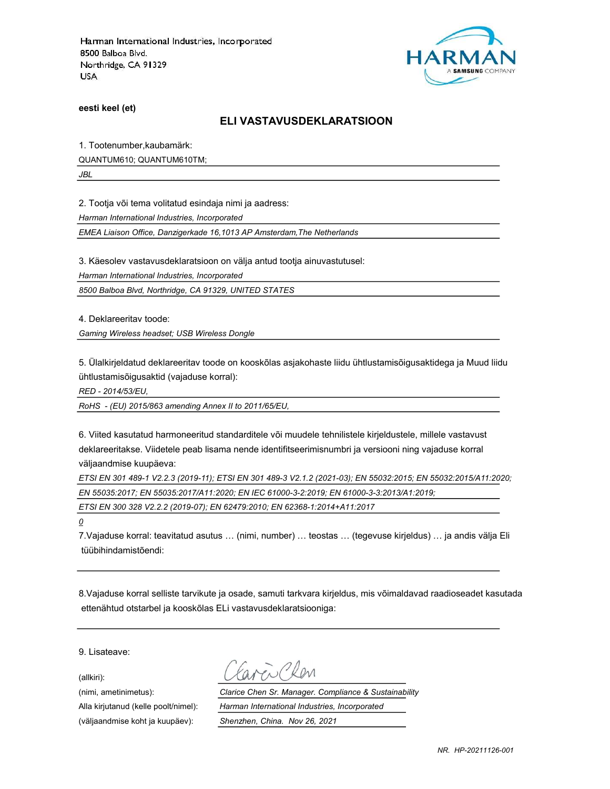

eesti keel (et)

#### ELI VASTAVUSDEKLARATSIOON

1. Tootenumber,kaubamärk:

QUANTUM610; QUANTUM610TM;

JBL

2. Tootja või tema volitatud esindaja nimi ja aadress:

Harman International Industries, Incorporated

EMEA Liaison Office, Danzigerkade 16,1013 AP Amsterdam,The Netherlands

3. Käesolev vastavusdeklaratsioon on välja antud tootja ainuvastutusel:

Harman International Industries, Incorporated

8500 Balboa Blvd, Northridge, CA 91329, UNITED STATES

4. Deklareeritav toode:

Gaming Wireless headset; USB Wireless Dongle

5. Ülalkirjeldatud deklareeritav toode on kooskõlas asjakohaste liidu ühtlustamisõigusaktidega ja Muud liidu ühtlustamisõigusaktid (vajaduse korral):

RED - 2014/53/EU,

RoHS - (EU) 2015/863 amending Annex II to 2011/65/EU,

6. Viited kasutatud harmoneeritud standarditele või muudele tehnilistele kirjeldustele, millele vastavust deklareeritakse. Viidetele peab lisama nende identifitseerimisnumbri ja versiooni ning vajaduse korral väljaandmise kuupäeva:

ETSI EN 301 489-1 V2.2.3 (2019-11); ETSI EN 301 489-3 V2.1.2 (2021-03); EN 55032:2015; EN 55032:2015/A11:2020; EN 55035:2017; EN 55035:2017/A11:2020; EN IEC 61000-3-2:2019; EN 61000-3-3:2013/A1:2019;

ETSI EN 300 328 V2.2.2 (2019-07); EN 62479:2010; EN 62368-1:2014+A11:2017

0

7.Vajaduse korral: teavitatud asutus … (nimi, number) … teostas … (tegevuse kirjeldus) … ja andis välja Eli tüübihindamistõendi:

8.Vajaduse korral selliste tarvikute ja osade, samuti tarkvara kirjeldus, mis võimaldavad raadioseadet kasutada ettenähtud otstarbel ja kooskõlas ELi vastavusdeklaratsiooniga:

9. Lisateave:

(allkiri):

(nimi, ametinimetus): Clarice Chen Sr. Manager. Compliance & Sustainability Alla kirjutanud (kelle poolt/nimel): Harman International Industries, Incorporated (väljaandmise koht ja kuupäev): Shenzhen, China. Nov 26, 2021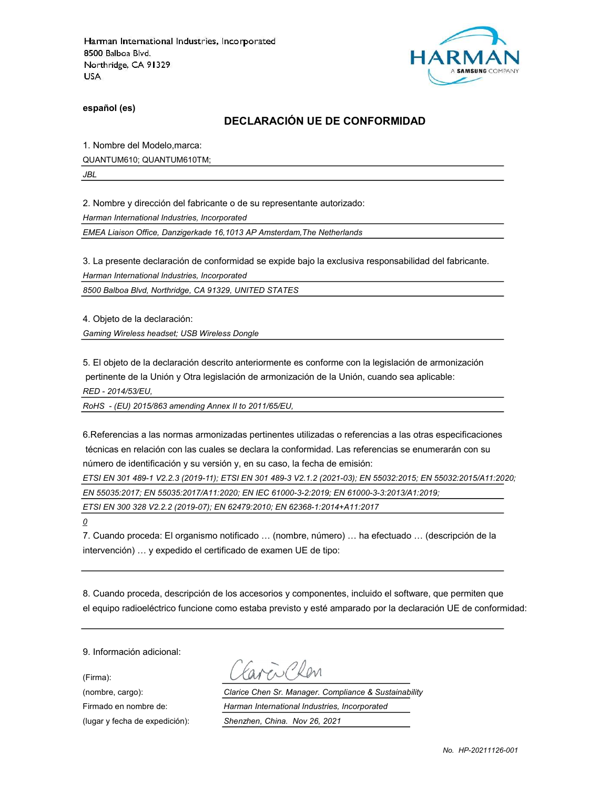

español (es)

### DECLARACIÓN UE DE CONFORMIDAD

1. Nombre del Modelo,marca:

QUANTUM610; QUANTUM610TM;

JBL

2. Nombre y dirección del fabricante o de su representante autorizado:

Harman International Industries, Incorporated

EMEA Liaison Office, Danzigerkade 16,1013 AP Amsterdam,The Netherlands

3. La presente declaración de conformidad se expide bajo la exclusiva responsabilidad del fabricante.

Harman International Industries, Incorporated

8500 Balboa Blvd, Northridge, CA 91329, UNITED STATES

4. Objeto de la declaración:

Gaming Wireless headset; USB Wireless Dongle

5. El objeto de la declaración descrito anteriormente es conforme con la legislación de armonización pertinente de la Unión y Otra legislación de armonización de la Unión, cuando sea aplicable:

RED - 2014/53/EU,

RoHS - (EU) 2015/863 amending Annex II to 2011/65/EU,

6.Referencias a las normas armonizadas pertinentes utilizadas o referencias a las otras especificaciones técnicas en relación con las cuales se declara la conformidad. Las referencias se enumerarán con su número de identificación y su versión y, en su caso, la fecha de emisión:

ETSI EN 301 489-1 V2.2.3 (2019-11); ETSI EN 301 489-3 V2.1.2 (2021-03); EN 55032:2015; EN 55032:2015/A11:2020;

EN 55035:2017; EN 55035:2017/A11:2020; EN IEC 61000-3-2:2019; EN 61000-3-3:2013/A1:2019;

ETSI EN 300 328 V2.2.2 (2019-07); EN 62479:2010; EN 62368-1:2014+A11:2017

 $\overline{o}$ 

7. Cuando proceda: El organismo notificado … (nombre, número) … ha efectuado … (descripción de la intervención) … y expedido el certificado de examen UE de tipo:

8. Cuando proceda, descripción de los accesorios y componentes, incluido el software, que permiten que el equipo radioeléctrico funcione como estaba previsto y esté amparado por la declaración UE de conformidad:

9. Información adicional:

(Firma):

ave Clean

(nombre, cargo): Clarice Chen Sr. Manager. Compliance & Sustainability Firmado en nombre de: Harman International Industries, Incorporated (lugar y fecha de expedición): Shenzhen, China. Nov 26, 2021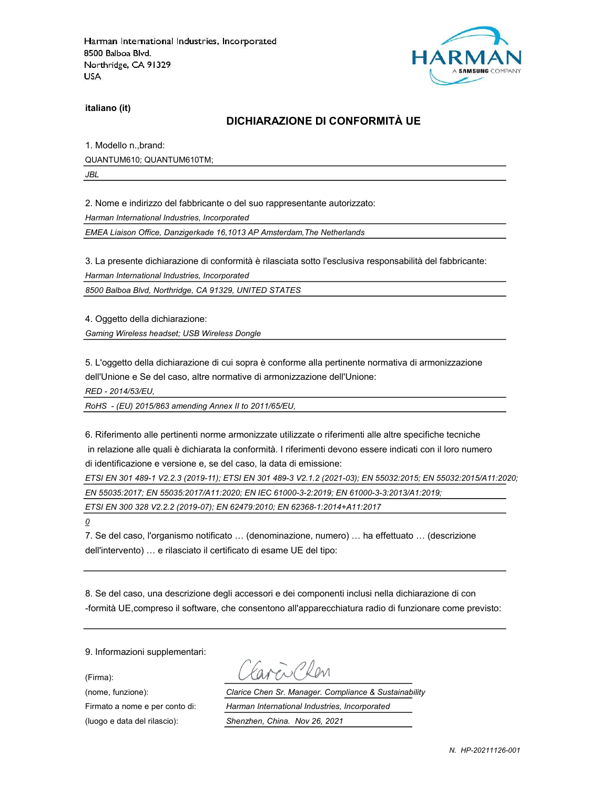

italiano (it)

#### DICHIARAZIONE DI CONFORMITÀ UE

1. Modello n.,brand: QUANTUM610; QUANTUM610TM;

JBL

2. Nome e indirizzo del fabbricante o del suo rappresentante autorizzato:

Harman International Industries, Incorporated

EMEA Liaison Office, Danzigerkade 16,1013 AP Amsterdam,The Netherlands

3. La presente dichiarazione di conformità è rilasciata sotto l'esclusiva responsabilità del fabbricante:

Harman International Industries, Incorporated

8500 Balboa Blvd, Northridge, CA 91329, UNITED STATES

4. Oggetto della dichiarazione:

Gaming Wireless headset; USB Wireless Dongle

5. L'oggetto della dichiarazione di cui sopra è conforme alla pertinente normativa di armonizzazione dell'Unione e Se del caso, altre normative di armonizzazione dell'Unione:

RED - 2014/53/EU,

RoHS - (EU) 2015/863 amending Annex II to 2011/65/EU,

6. Riferimento alle pertinenti norme armonizzate utilizzate o riferimenti alle altre specifiche tecniche in relazione alle quali è dichiarata la conformità. I riferimenti devono essere indicati con il loro numero di identificazione e versione e, se del caso, la data di emissione:

ETSI EN 301 489-1 V2.2.3 (2019-11); ETSI EN 301 489-3 V2.1.2 (2021-03); EN 55032:2015; EN 55032:2015/A11:2020; EN 55035:2017; EN 55035:2017/A11:2020; EN IEC 61000-3-2:2019; EN 61000-3-3:2013/A1:2019;

ETSI EN 300 328 V2.2.2 (2019-07); EN 62479:2010; EN 62368-1:2014+A11:2017

 $\overline{\mathcal{Q}}$ 

7. Se del caso, l'organismo notificato … (denominazione, numero) … ha effettuato … (descrizione dell'intervento) … e rilasciato il certificato di esame UE del tipo:

8. Se del caso, una descrizione degli accessori e dei componenti inclusi nella dichiarazione di con -formità UE,compreso il software, che consentono all'apparecchiatura radio di funzionare come previsto:

9. Informazioni supplementari:

(Firma):

Carrillan

(nome, funzione): Clarice Chen Sr. Manager. Compliance & Sustainability Firmato a nome e per conto di: Harman International Industries, Incorporated (luogo e data del rilascio): Shenzhen, China. Nov 26, 2021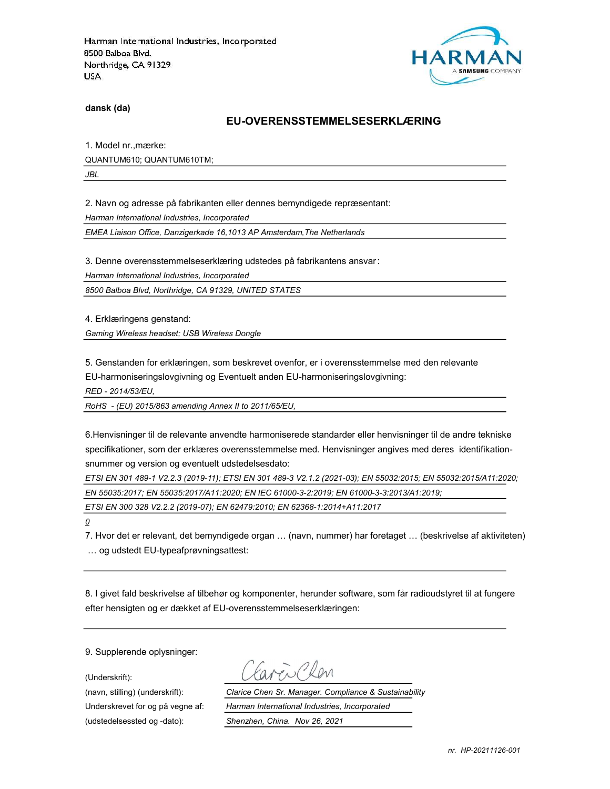

dansk (da)

#### EU-OVERENSSTEMMELSESERKLÆRING

1. Model nr.,mærke: QUANTUM610; QUANTUM610TM;

JBL

2. Navn og adresse på fabrikanten eller dennes bemyndigede repræsentant:

Harman International Industries, Incorporated

EMEA Liaison Office, Danzigerkade 16,1013 AP Amsterdam,The Netherlands

3. Denne overensstemmelseserklæring udstedes på fabrikantens ansvar:

Harman International Industries, Incorporated

8500 Balboa Blvd, Northridge, CA 91329, UNITED STATES

4. Erklæringens genstand:

Gaming Wireless headset; USB Wireless Dongle

5. Genstanden for erklæringen, som beskrevet ovenfor, er i overensstemmelse med den relevante EU-harmoniseringslovgivning og Eventuelt anden EU-harmoniseringslovgivning:

RED - 2014/53/EU,

RoHS - (EU) 2015/863 amending Annex II to 2011/65/EU,

6.Henvisninger til de relevante anvendte harmoniserede standarder eller henvisninger til de andre tekniske specifikationer, som der erklæres overensstemmelse med. Henvisninger angives med deres identifikationsnummer og version og eventuelt udstedelsesdato:

ETSI EN 301 489-1 V2.2.3 (2019-11); ETSI EN 301 489-3 V2.1.2 (2021-03); EN 55032:2015; EN 55032:2015/A11:2020; EN 55035:2017; EN 55035:2017/A11:2020; EN IEC 61000-3-2:2019; EN 61000-3-3:2013/A1:2019;

ETSI EN 300 328 V2.2.2 (2019-07); EN 62479:2010; EN 62368-1:2014+A11:2017

 $\overline{\mathcal{Q}}$ 

7. Hvor det er relevant, det bemyndigede organ … (navn, nummer) har foretaget … (beskrivelse af aktiviteten) … og udstedt EU-typeafprøvningsattest:

8. I givet fald beskrivelse af tilbehør og komponenter, herunder software, som får radioudstyret til at fungere efter hensigten og er dækket af EU-overensstemmelseserklæringen:

9. Supplerende oplysninger:

(Underskrift):

(udstedelsessted og -dato): Shenzhen, China. Nov 26, 2021

(navn, stilling) (underskrift): Clarice Chen Sr. Manager. Compliance & Sustainability Underskrevet for og på vegne af: Harman International Industries, Incorporated

nr. HP-20211126-001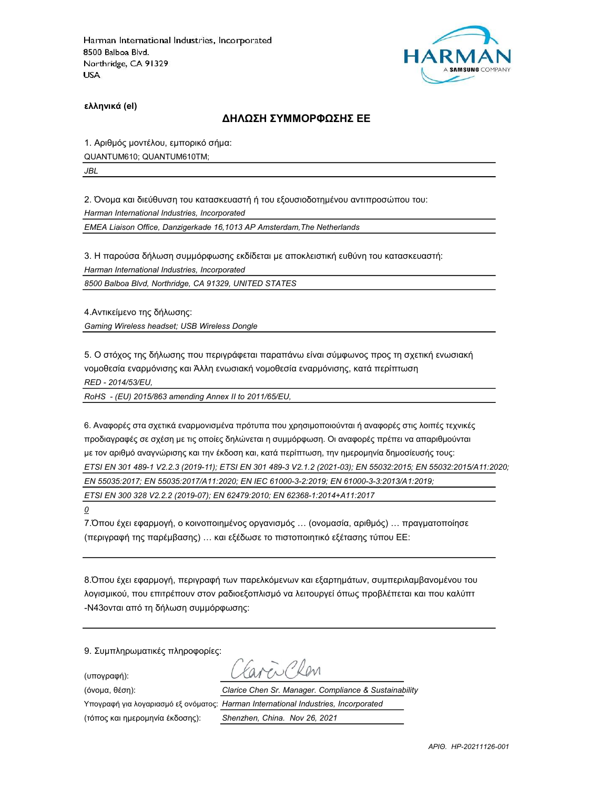

ελληνικά (el)

#### ΔΗΛΩΣΗ ΣΥΜΜΟΡΦΩΣΗΣ ΕΕ

1. Αριθμός μοντέλου, εμπορικό σήμα: QUANTUM610; QUANTUM610TM;

JBL

2. Όνομα και διεύθυνση του κατασκευαστή ή του εξουσιοδοτημένου αντιπροσώπου του:

Harman International Industries, Incorporated

EMEA Liaison Office, Danzigerkade 16,1013 AP Amsterdam,The Netherlands

3. Η παρούσα δήλωση συμμόρφωσης εκδίδεται με αποκλειστική ευθύνη του κατασκευαστή:

Harman International Industries, Incorporated

8500 Balboa Blvd, Northridge, CA 91329, UNITED STATES

4.Αντικείμενο της δήλωσης: Gaming Wireless headset; USB Wireless Dongle

5. Ο στόχος της δήλωσης που περιγράφεται παραπάνω είναι σύμφωνος προς τη σχετική ενωσιακή νομοθεσία εναρμόνισης και Άλλη ενωσιακή νομοθεσία εναρμόνισης, κατά περίπτωση RED - 2014/53/EU,

RoHS - (EU) 2015/863 amending Annex II to 2011/65/EU,

6. Αναφορές στα σχετικά εναρμονισμένα πρότυπα που χρησιμοποιούνται ή αναφορές στις λοιπές τεχνικές προδιαγραφές σε σχέση με τις οποίες δηλώνεται η συμμόρφωση. Οι αναφορές πρέπει να απαριθμούνται με τον αριθμό αναγνώρισης και την έκδοση και, κατά περίπτωση, την ημερομηνία δημοσίευσής τους: ETSI EN 301 489-1 V2.2.3 (2019-11); ETSI EN 301 489-3 V2.1.2 (2021-03); EN 55032:2015; EN 55032:2015/A11:2020; EN 55035:2017; EN 55035:2017/A11:2020; EN IEC 61000-3-2:2019; EN 61000-3-3:2013/A1:2019; ETSI EN 300 328 V2.2.2 (2019-07); EN 62479:2010; EN 62368-1:2014+A11:2017

0

7.Όπου έχει εφαρμογή, ο κοινοποιημένος οργανισμός … (ονομασία, αριθμός) … πραγματοποίησε (περιγραφή της παρέμβασης) … και εξέδωσε το πιστοποιητικό εξέτασης τύπου ΕΕ:

8.Όπου έχει εφαρμογή, περιγραφή των παρελκόμενων και εξαρτημάτων, συμπεριλαμβανομένου του λογισμικού, που επιτρέπουν στον ραδιοεξοπλισμό να λειτουργεί όπως προβλέπεται και που καλύπτ -N43ονται από τη δήλωση συμμόρφωσης:

9. Συμπληρωματικές πληροφορίες:

(υπογραφή):

avenChan

(τόπος και ημερομηνία έκδοσης): Shenzhen, China. Nov 26, 2021

(όνομα, θέση): Clarice Chen Sr. Manager. Compliance & Sustainability Υπογραφή για λογαριασμό εξ ονόματος: Harman International Industries, Incorporated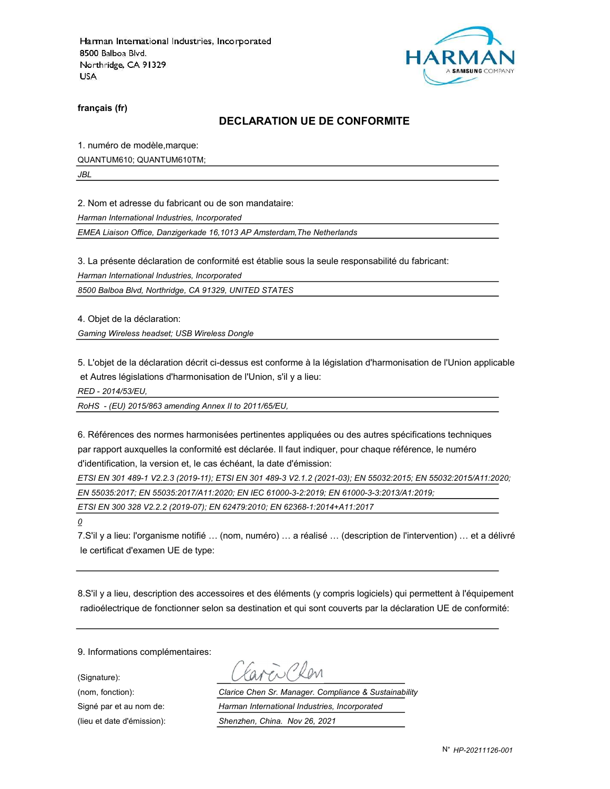

français (fr)

#### DECLARATION UE DE CONFORMITE

1. numéro de modèle,marque:

QUANTUM610; QUANTUM610TM;

JBL

2. Nom et adresse du fabricant ou de son mandataire:

Harman International Industries, Incorporated

EMEA Liaison Office, Danzigerkade 16,1013 AP Amsterdam,The Netherlands

3. La présente déclaration de conformité est établie sous la seule responsabilité du fabricant:

Harman International Industries, Incorporated

8500 Balboa Blvd, Northridge, CA 91329, UNITED STATES

4. Objet de la déclaration:

Gaming Wireless headset; USB Wireless Dongle

5. L'objet de la déclaration décrit ci-dessus est conforme à la législation d'harmonisation de l'Union applicable et Autres législations d'harmonisation de l'Union, s'il y a lieu:

RED - 2014/53/EU,

RoHS - (EU) 2015/863 amending Annex II to 2011/65/EU,

6. Références des normes harmonisées pertinentes appliquées ou des autres spécifications techniques par rapport auxquelles la conformité est déclarée. Il faut indiquer, pour chaque référence, le numéro d'identification, la version et, le cas échéant, la date d'émission:

ETSI EN 301 489-1 V2.2.3 (2019-11); ETSI EN 301 489-3 V2.1.2 (2021-03); EN 55032:2015; EN 55032:2015/A11:2020;

EN 55035:2017; EN 55035:2017/A11:2020; EN IEC 61000-3-2:2019; EN 61000-3-3:2013/A1:2019;

ETSI EN 300 328 V2.2.2 (2019-07); EN 62479:2010; EN 62368-1:2014+A11:2017

 $\overline{\mathcal{Q}}$ 

7.S'il y a lieu: l'organisme notifié … (nom, numéro) … a réalisé … (description de l'intervention) … et a délivré le certificat d'examen UE de type:

8.S'il y a lieu, description des accessoires et des éléments (y compris logiciels) qui permettent à l'équipement radioélectrique de fonctionner selon sa destination et qui sont couverts par la déclaration UE de conformité:

9. Informations complémentaires:

(Signature):

(nom, fonction): Clarice Chen Sr. Manager. Compliance & Sustainability Signé par et au nom de: Harman International Industries, Incorporated (lieu et date d'émission): Shenzhen, China. Nov 26, 2021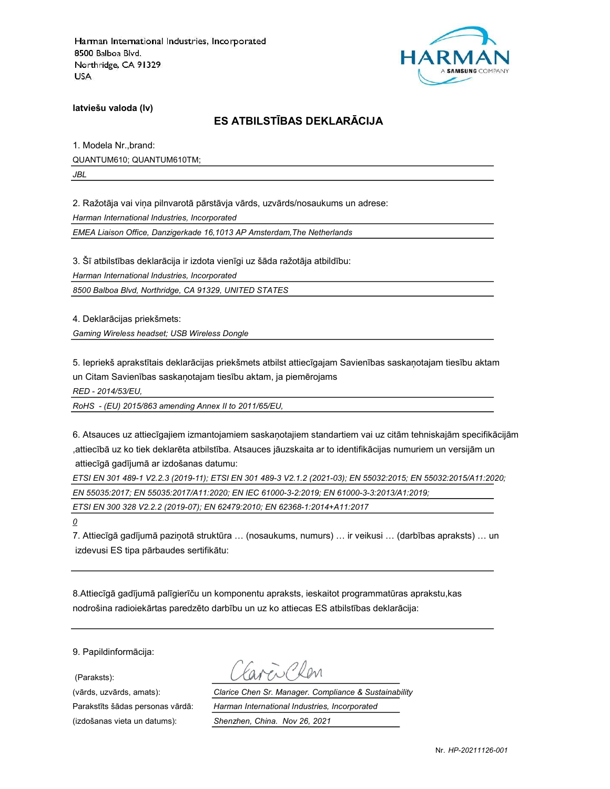

latviešu valoda (lv)

## ES ATBILSTĪBAS DEKLARĀCIJA

1. Modela Nr.,brand: QUANTUM610; QUANTUM610TM; JBL

2. Ražotāja vai viņa pilnvarotā pārstāvja vārds, uzvārds/nosaukums un adrese:

Harman International Industries, Incorporated

EMEA Liaison Office, Danzigerkade 16,1013 AP Amsterdam,The Netherlands

3. Šī atbilstības deklarācija ir izdota vienīgi uz šāda ražotāja atbildību:

Harman International Industries, Incorporated

8500 Balboa Blvd, Northridge, CA 91329, UNITED STATES

4. Deklarācijas priekšmets:

Gaming Wireless headset; USB Wireless Dongle

5. Iepriekš aprakstītais deklarācijas priekšmets atbilst attiecīgajam Savienības saskaņotajam tiesību aktam un Citam Savienības saskaņotajam tiesību aktam, ja piemērojams

RED - 2014/53/EU,

RoHS - (EU) 2015/863 amending Annex II to 2011/65/EU,

6. Atsauces uz attiecīgajiem izmantojamiem saskaņotajiem standartiem vai uz citām tehniskajām specifikācijām ,attiecībā uz ko tiek deklarēta atbilstība. Atsauces jāuzskaita ar to identifikācijas numuriem un versijām un attiecīgā gadījumā ar izdošanas datumu:

ETSI EN 301 489-1 V2.2.3 (2019-11); ETSI EN 301 489-3 V2.1.2 (2021-03); EN 55032:2015; EN 55032:2015/A11:2020; EN 55035:2017; EN 55035:2017/A11:2020; EN IEC 61000-3-2:2019; EN 61000-3-3:2013/A1:2019;

ETSI EN 300 328 V2.2.2 (2019-07); EN 62479:2010; EN 62368-1:2014+A11:2017

0

7. Attiecīgā gadījumā paziņotā struktūra … (nosaukums, numurs) … ir veikusi … (darbības apraksts) … un izdevusi ES tipa pārbaudes sertifikātu:

8.Attiecīgā gadījumā palīgierīču un komponentu apraksts, ieskaitot programmatūras aprakstu,kas nodrošina radioiekārtas paredzēto darbību un uz ko attiecas ES atbilstības deklarācija:

9. Papildinformācija:

(Paraksts):

(izdošanas vieta un datums): Shenzhen, China. Nov 26, 2021

(vārds, uzvārds, amats): Clarice Chen Sr. Manager. Compliance & Sustainability Parakstīts šādas personas vārdā: Harman International Industries, Incorporated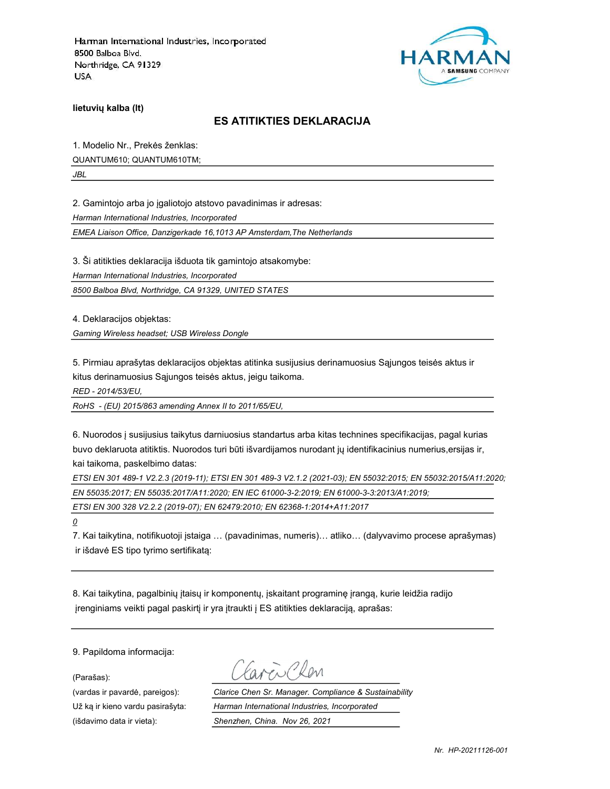

lietuvių kalba (lt)

### ES ATITIKTIES DEKLARACIJA

1. Modelio Nr., Prekės ženklas: QUANTUM610; QUANTUM610TM;

JBL

2. Gamintojo arba jo įgaliotojo atstovo pavadinimas ir adresas:

Harman International Industries, Incorporated

EMEA Liaison Office, Danzigerkade 16,1013 AP Amsterdam,The Netherlands

3. Ši atitikties deklaracija išduota tik gamintojo atsakomybe:

Harman International Industries, Incorporated

8500 Balboa Blvd, Northridge, CA 91329, UNITED STATES

4. Deklaracijos objektas:

Gaming Wireless headset; USB Wireless Dongle

5. Pirmiau aprašytas deklaracijos objektas atitinka susijusius derinamuosius Sąjungos teisės aktus ir kitus derinamuosius Sąjungos teisės aktus, jeigu taikoma.

RED - 2014/53/EU,

RoHS - (EU) 2015/863 amending Annex II to 2011/65/EU,

6. Nuorodos į susijusius taikytus darniuosius standartus arba kitas technines specifikacijas, pagal kurias buvo deklaruota atitiktis. Nuorodos turi būti išvardijamos nurodant jų identifikacinius numerius,ersijas ir, kai taikoma, paskelbimo datas:

ETSI EN 301 489-1 V2.2.3 (2019-11); ETSI EN 301 489-3 V2.1.2 (2021-03); EN 55032:2015; EN 55032:2015/A11:2020; EN 55035:2017; EN 55035:2017/A11:2020; EN IEC 61000-3-2:2019; EN 61000-3-3:2013/A1:2019;

ETSI EN 300 328 V2.2.2 (2019-07); EN 62479:2010; EN 62368-1:2014+A11:2017

0

7. Kai taikytina, notifikuotoji įstaiga … (pavadinimas, numeris)… atliko… (dalyvavimo procese aprašymas) ir išdavė ES tipo tyrimo sertifikatą:

8. Kai taikytina, pagalbinių įtaisų ir komponentų, įskaitant programinę įrangą, kurie leidžia radijo įrenginiams veikti pagal paskirtį ir yra įtraukti į ES atitikties deklaraciją, aprašas:

9. Papildoma informacija:

(Parašas):

Favor Ren

(vardas ir pavardė, pareigos): Clarice Chen Sr. Manager. Compliance & Sustainability Už ką ir kieno vardu pasirašyta: Harman International Industries, Incorporated (išdavimo data ir vieta): Shenzhen, China. Nov 26, 2021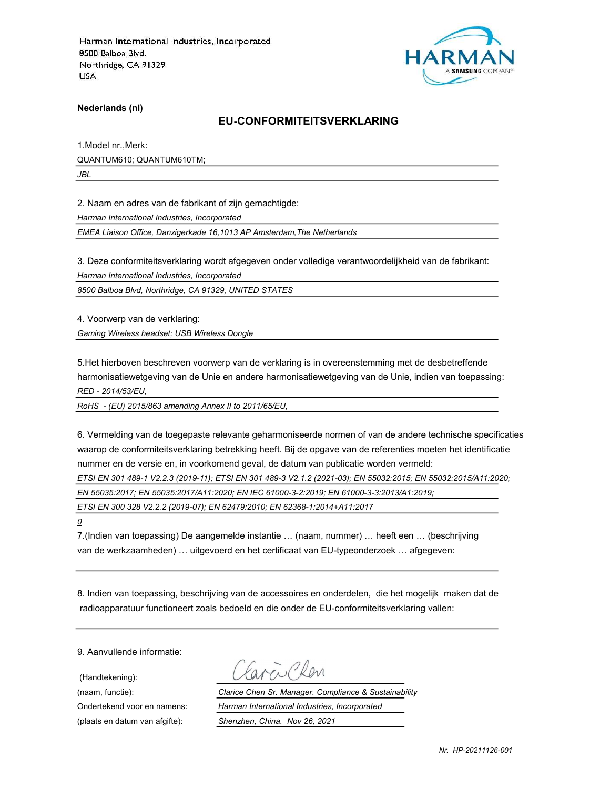

Nederlands (nl)

#### EU-CONFORMITEITSVERKLARING

1.Model nr.,Merk: QUANTUM610; QUANTUM610TM;

JBL

2. Naam en adres van de fabrikant of zijn gemachtigde:

Harman International Industries, Incorporated

EMEA Liaison Office, Danzigerkade 16,1013 AP Amsterdam,The Netherlands

3. Deze conformiteitsverklaring wordt afgegeven onder volledige verantwoordelijkheid van de fabrikant:

Harman International Industries, Incorporated

8500 Balboa Blvd, Northridge, CA 91329, UNITED STATES

4. Voorwerp van de verklaring:

Gaming Wireless headset; USB Wireless Dongle

5.Het hierboven beschreven voorwerp van de verklaring is in overeenstemming met de desbetreffende harmonisatiewetgeving van de Unie en andere harmonisatiewetgeving van de Unie, indien van toepassing: RED - 2014/53/EU,

RoHS - (EU) 2015/863 amending Annex II to 2011/65/EU,

6. Vermelding van de toegepaste relevante geharmoniseerde normen of van de andere technische specificaties waarop de conformiteitsverklaring betrekking heeft. Bij de opgave van de referenties moeten het identificatie nummer en de versie en, in voorkomend geval, de datum van publicatie worden vermeld:

ETSI EN 301 489-1 V2.2.3 (2019-11); ETSI EN 301 489-3 V2.1.2 (2021-03); EN 55032:2015; EN 55032:2015/A11:2020;

EN 55035:2017; EN 55035:2017/A11:2020; EN IEC 61000-3-2:2019; EN 61000-3-3:2013/A1:2019;

ETSI EN 300 328 V2.2.2 (2019-07); EN 62479:2010; EN 62368-1:2014+A11:2017

 $\overline{\mathcal{Q}}$ 

7.(Indien van toepassing) De aangemelde instantie … (naam, nummer) … heeft een … (beschrijving van de werkzaamheden) … uitgevoerd en het certificaat van EU-typeonderzoek … afgegeven:

8. Indien van toepassing, beschrijving van de accessoires en onderdelen, die het mogelijk maken dat de radioapparatuur functioneert zoals bedoeld en die onder de EU-conformiteitsverklaring vallen:

9. Aanvullende informatie:

(Handtekening):

Favor Clean

(naam, functie): Clarice Chen Sr. Manager. Compliance & Sustainability Ondertekend voor en namens: Harman International Industries, Incorporated (plaats en datum van afgifte): Shenzhen, China. Nov 26, 2021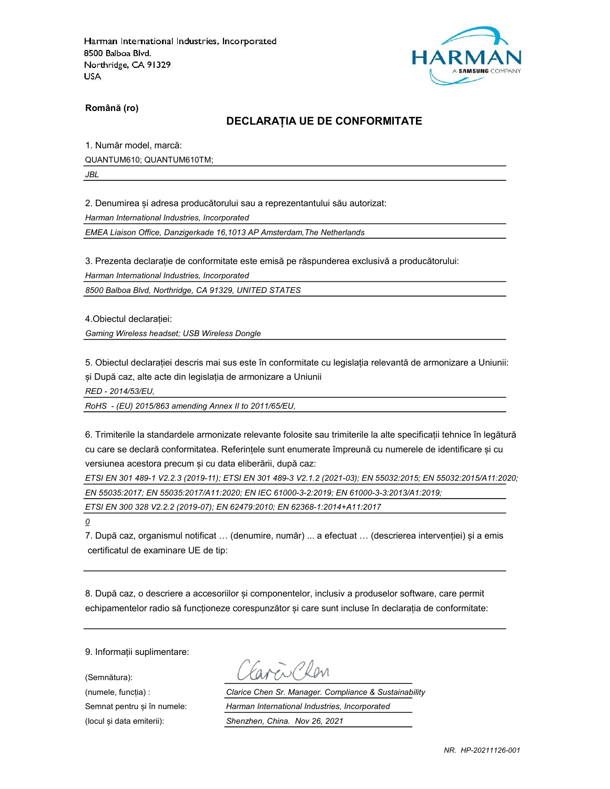

Română (ro)

#### DECLARAȚIA UE DE CONFORMITATE

1. Număr model, marcă:

QUANTUM610; QUANTUM610TM;

JBL

2. Denumirea și adresa producătorului sau a reprezentantului său autorizat:

Harman International Industries, Incorporated

EMEA Liaison Office, Danzigerkade 16,1013 AP Amsterdam,The Netherlands

3. Prezenta declarație de conformitate este emisă pe răspunderea exclusivă a producătorului:

Harman International Industries, Incorporated

8500 Balboa Blvd, Northridge, CA 91329, UNITED STATES

4.Obiectul declarației:

Gaming Wireless headset; USB Wireless Dongle

5. Obiectul declarației descris mai sus este în conformitate cu legislația relevantă de armonizare a Uniunii: și După caz, alte acte din legislația de armonizare a Uniunii

RED - 2014/53/EU,

RoHS - (EU) 2015/863 amending Annex II to 2011/65/EU,

6. Trimiterile la standardele armonizate relevante folosite sau trimiterile la alte specificații tehnice în legătură cu care se declară conformitatea. Referințele sunt enumerate împreună cu numerele de identificare și cu versiunea acestora precum și cu data eliberării, după caz:

ETSI EN 301 489-1 V2.2.3 (2019-11); ETSI EN 301 489-3 V2.1.2 (2021-03); EN 55032:2015; EN 55032:2015/A11:2020; EN 55035:2017; EN 55035:2017/A11:2020; EN IEC 61000-3-2:2019; EN 61000-3-3:2013/A1:2019;

ETSI EN 300 328 V2.2.2 (2019-07); EN 62479:2010; EN 62368-1:2014+A11:2017

 $\overline{\mathcal{Q}}$ 

7. După caz, organismul notificat … (denumire, număr) ... a efectuat … (descrierea intervenției) și a emis certificatul de examinare UE de tip:

8. După caz, o descriere a accesoriilor și componentelor, inclusiv a produselor software, care permit echipamentelor radio să funcționeze corespunzător și care sunt incluse în declarația de conformitate:

9. Informații suplimentare:

(Semnătura):

Favor Chen

(numele, funcția) : Clarice Chen Sr. Manager. Compliance & Sustainability Semnat pentru și în numele: Harman International Industries, Incorporated (locul și data emiterii): Shenzhen, China. Nov 26, 2021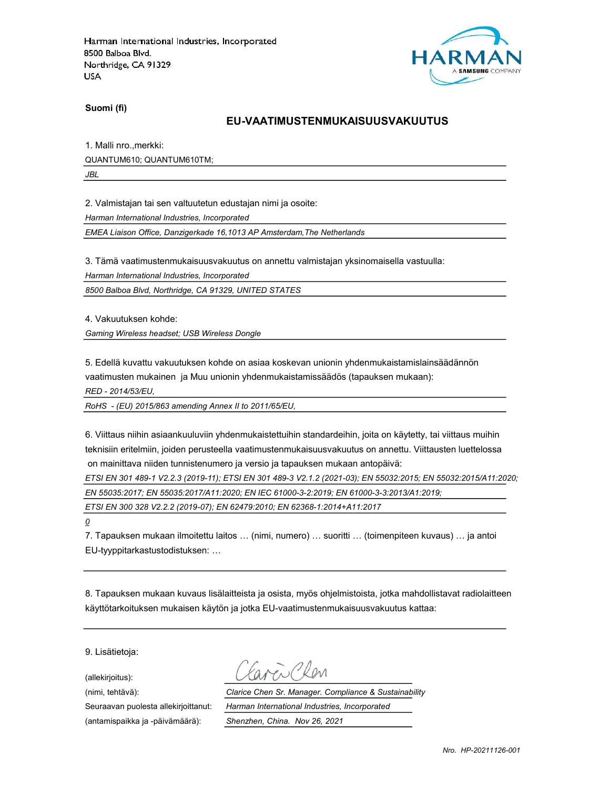

Suomi (fi)

#### EU-VAATIMUSTENMUKAISUUSVAKUUTUS

1. Malli nro.,merkki: QUANTUM610; QUANTUM610TM;

JBL

2. Valmistajan tai sen valtuutetun edustajan nimi ja osoite:

Harman International Industries, Incorporated

EMEA Liaison Office, Danzigerkade 16,1013 AP Amsterdam,The Netherlands

3. Tämä vaatimustenmukaisuusvakuutus on annettu valmistajan yksinomaisella vastuulla:

Harman International Industries, Incorporated

8500 Balboa Blvd, Northridge, CA 91329, UNITED STATES

4. Vakuutuksen kohde:

Gaming Wireless headset; USB Wireless Dongle

5. Edellä kuvattu vakuutuksen kohde on asiaa koskevan unionin yhdenmukaistamislainsäädännön vaatimusten mukainen ja Muu unionin yhdenmukaistamissäädös (tapauksen mukaan):

RED - 2014/53/EU,

RoHS - (EU) 2015/863 amending Annex II to 2011/65/EU,

6. Viittaus niihin asiaankuuluviin yhdenmukaistettuihin standardeihin, joita on käytetty, tai viittaus muihin teknisiin eritelmiin, joiden perusteella vaatimustenmukaisuusvakuutus on annettu. Viittausten luettelossa on mainittava niiden tunnistenumero ja versio ja tapauksen mukaan antopäivä:

ETSI EN 301 489-1 V2.2.3 (2019-11); ETSI EN 301 489-3 V2.1.2 (2021-03); EN 55032:2015; EN 55032:2015/A11:2020;

EN 55035:2017; EN 55035:2017/A11:2020; EN IEC 61000-3-2:2019; EN 61000-3-3:2013/A1:2019;

ETSI EN 300 328 V2.2.2 (2019-07); EN 62479:2010; EN 62368-1:2014+A11:2017

 $\overline{\mathcal{Q}}$ 

7. Tapauksen mukaan ilmoitettu laitos … (nimi, numero) … suoritti … (toimenpiteen kuvaus) … ja antoi EU-tyyppitarkastustodistuksen: …

8. Tapauksen mukaan kuvaus lisälaitteista ja osista, myös ohjelmistoista, jotka mahdollistavat radiolaitteen käyttötarkoituksen mukaisen käytön ja jotka EU-vaatimustenmukaisuusvakuutus kattaa:

9. Lisätietoja:

(allekirjoitus):

(antamispaikka ja -päivämäärä): Shenzhen, China. Nov 26, 2021

 $2\sqrt{10}$ 

(nimi, tehtävä): Clarice Chen Sr. Manager. Compliance & Sustainability Seuraavan puolesta allekirjoittanut: Harman International Industries, Incorporated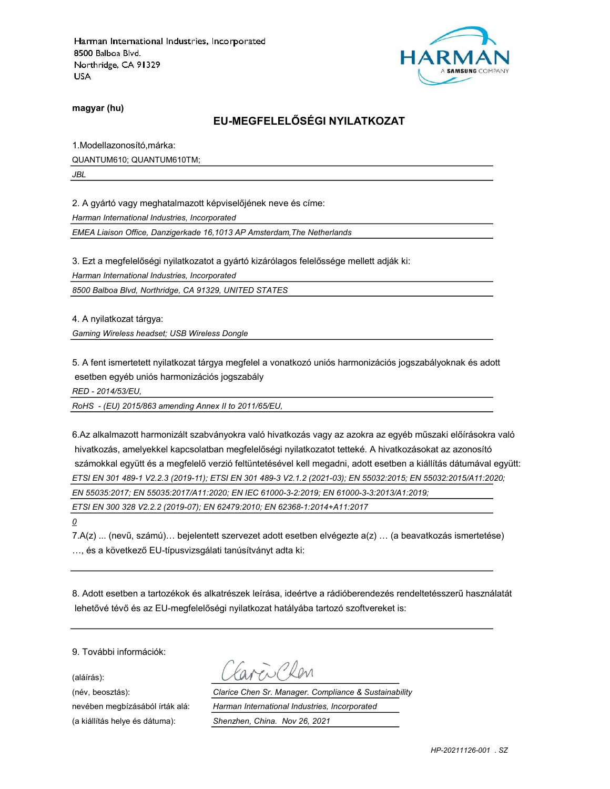

magyar (hu)

### EU-MEGFELELŐSÉGI NYILATKOZAT

1.Modellazonosító,márka: QUANTUM610; QUANTUM610TM;

JBL

2. A gyártó vagy meghatalmazott képviselőjének neve és címe:

Harman International Industries, Incorporated

EMEA Liaison Office, Danzigerkade 16,1013 AP Amsterdam,The Netherlands

3. Ezt a megfelelőségi nyilatkozatot a gyártó kizárólagos felelőssége mellett adják ki:

Harman International Industries, Incorporated

8500 Balboa Blvd, Northridge, CA 91329, UNITED STATES

4. A nyilatkozat tárgya:

Gaming Wireless headset; USB Wireless Dongle

5. A fent ismertetett nyilatkozat tárgya megfelel a vonatkozó uniós harmonizációs jogszabályoknak és adott esetben egyéb uniós harmonizációs jogszabály

RED - 2014/53/EU,

RoHS - (EU) 2015/863 amending Annex II to 2011/65/EU,

6.Az alkalmazott harmonizált szabványokra való hivatkozás vagy az azokra az egyéb műszaki előírásokra való hivatkozás, amelyekkel kapcsolatban megfelelőségi nyilatkozatot tetteké. A hivatkozásokat az azonosító számokkal együtt és a megfelelő verzió feltüntetésével kell megadni, adott esetben a kiállítás dátumával együtt: ETSI EN 301 489-1 V2.2.3 (2019-11); ETSI EN 301 489-3 V2.1.2 (2021-03); EN 55032:2015; EN 55032:2015/A11:2020; EN 55035:2017; EN 55035:2017/A11:2020; EN IEC 61000-3-2:2019; EN 61000-3-3:2013/A1:2019;

ETSI EN 300 328 V2.2.2 (2019-07); EN 62479:2010; EN 62368-1:2014+A11:2017

 $\overline{\mathcal{Q}}$ 

7.A(z) ... (nevű, számú)… bejelentett szervezet adott esetben elvégezte a(z) … (a beavatkozás ismertetése) …, és a következő EU-típusvizsgálati tanúsítványt adta ki:

8. Adott esetben a tartozékok és alkatrészek leírása, ideértve a rádióberendezés rendeltetésszerű használatát lehetővé tévő és az EU-megfelelőségi nyilatkozat hatályába tartozó szoftvereket is:

9. További információk:

(aláírás):

(név, beosztás): Clarice Chen Sr. Manager. Compliance & Sustainability nevében megbízásából írták alá: Harman International Industries, Incorporated (a kiállítás helye és dátuma): Shenzhen, China. Nov 26, 2021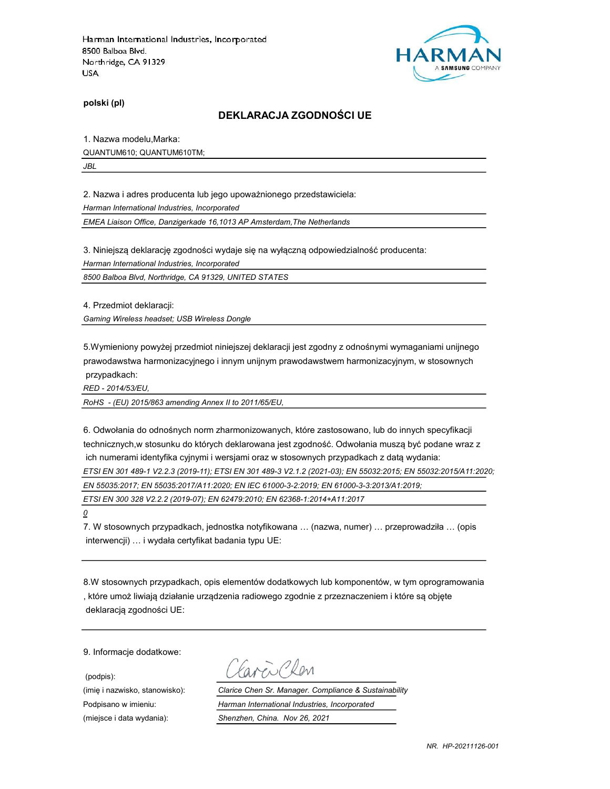

polski (pl)

#### DEKLARACJA ZGODNOŚCI UE

1. Nazwa modelu,Marka:

QUANTUM610; QUANTUM610TM;

JBL

2. Nazwa i adres producenta lub jego upoważnionego przedstawiciela:

Harman International Industries, Incorporated

EMEA Liaison Office, Danzigerkade 16,1013 AP Amsterdam,The Netherlands

3. Niniejszą deklarację zgodności wydaje się na wyłączną odpowiedzialność producenta:

Harman International Industries, Incorporated

8500 Balboa Blvd, Northridge, CA 91329, UNITED STATES

4. Przedmiot deklaracji:

Gaming Wireless headset; USB Wireless Dongle

5.Wymieniony powyżej przedmiot niniejszej deklaracji jest zgodny z odnośnymi wymaganiami unijnego prawodawstwa harmonizacyjnego i innym unijnym prawodawstwem harmonizacyjnym, w stosownych przypadkach:

RED - 2014/53/EU,

RoHS - (EU) 2015/863 amending Annex II to 2011/65/EU,

6. Odwołania do odnośnych norm zharmonizowanych, które zastosowano, lub do innych specyfikacji technicznych,w stosunku do których deklarowana jest zgodność. Odwołania muszą być podane wraz z ich numerami identyfika cyjnymi i wersjami oraz w stosownych przypadkach z datą wydania:

ETSI EN 301 489-1 V2.2.3 (2019-11); ETSI EN 301 489-3 V2.1.2 (2021-03); EN 55032:2015; EN 55032:2015/A11:2020;

EN 55035:2017; EN 55035:2017/A11:2020; EN IEC 61000-3-2:2019; EN 61000-3-3:2013/A1:2019;

ETSI EN 300 328 V2.2.2 (2019-07); EN 62479:2010; EN 62368-1:2014+A11:2017

0

7. W stosownych przypadkach, jednostka notyfikowana … (nazwa, numer) … przeprowadziła … (opis interwencji) … i wydała certyfikat badania typu UE:

8.W stosownych przypadkach, opis elementów dodatkowych lub komponentów, w tym oprogramowania , które umoż liwiają działanie urządzenia radiowego zgodnie z przeznaczeniem i które są objęte deklaracją zgodności UE:

9. Informacje dodatkowe:

(podpis):

Caren Cler

(imię i nazwisko, stanowisko): Clarice Chen Sr. Manager. Compliance & Sustainability Podpisano w imieniu: Harman International Industries, Incorporated (miejsce i data wydania): Shenzhen, China. Nov 26, 2021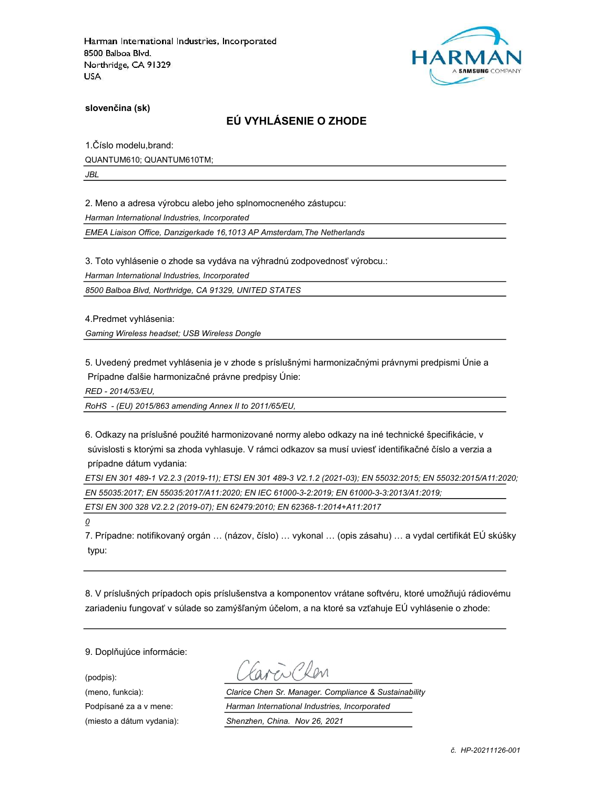

slovenčina (sk)

### EÚ VYHLÁSENIE O ZHODE

1.Číslo modelu,brand: QUANTUM610; QUANTUM610TM;

JBL

2. Meno a adresa výrobcu alebo jeho splnomocneného zástupcu:

Harman International Industries, Incorporated

EMEA Liaison Office, Danzigerkade 16,1013 AP Amsterdam,The Netherlands

3. Toto vyhlásenie o zhode sa vydáva na výhradnú zodpovednosť výrobcu.:

Harman International Industries, Incorporated

8500 Balboa Blvd, Northridge, CA 91329, UNITED STATES

4.Predmet vyhlásenia:

Gaming Wireless headset; USB Wireless Dongle

5. Uvedený predmet vyhlásenia je v zhode s príslušnými harmonizačnými právnymi predpismi Únie a Prípadne ďalšie harmonizačné právne predpisy Únie:

RED - 2014/53/EU,

RoHS - (EU) 2015/863 amending Annex II to 2011/65/EU,

6. Odkazy na príslušné použité harmonizované normy alebo odkazy na iné technické špecifikácie, v súvislosti s ktorými sa zhoda vyhlasuje. V rámci odkazov sa musí uviesť identifikačné číslo a verzia a prípadne dátum vydania:

ETSI EN 301 489-1 V2.2.3 (2019-11); ETSI EN 301 489-3 V2.1.2 (2021-03); EN 55032:2015; EN 55032:2015/A11:2020; EN 55035:2017; EN 55035:2017/A11:2020; EN IEC 61000-3-2:2019; EN 61000-3-3:2013/A1:2019;

ETSI EN 300 328 V2.2.2 (2019-07); EN 62479:2010; EN 62368-1:2014+A11:2017

 $\overline{\mathcal{Q}}$ 

7. Prípadne: notifikovaný orgán … (názov, číslo) … vykonal … (opis zásahu) … a vydal certifikát EÚ skúšky typu:

8. V príslušných prípadoch opis príslušenstva a komponentov vrátane softvéru, ktoré umožňujú rádiovému zariadeniu fungovať v súlade so zamýšľaným účelom, a na ktoré sa vzťahuje EÚ vyhlásenie o zhode:

9. Doplňujúce informácie:

(podpis):

(meno, funkcia): Clarice Chen Sr. Manager. Compliance & Sustainability Podpísané za a v mene: Harman International Industries, Incorporated (miesto a dátum vydania): Shenzhen, China. Nov 26, 2021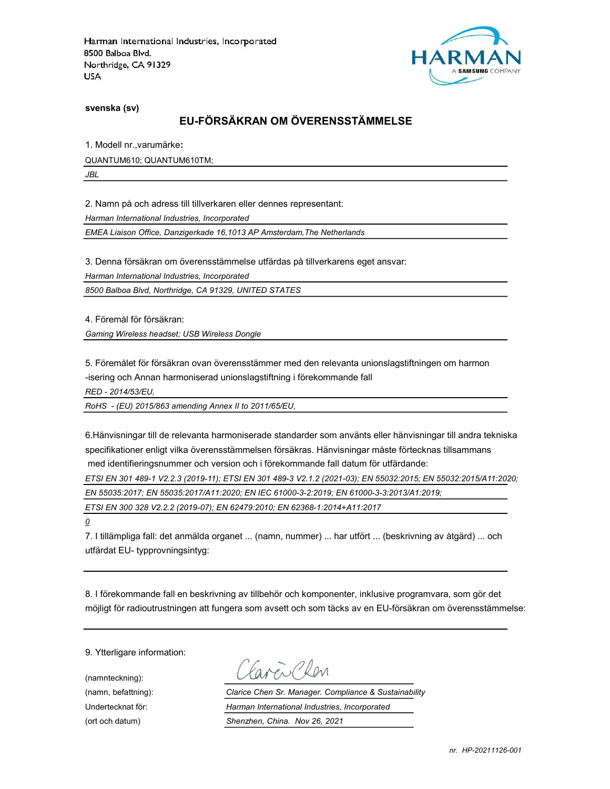

svenska (sv)

#### EU-FÖRSÄKRAN OM ÖVERENSSTÄMMELSE

1. Modell nr.,varumärke:

QUANTUM610; QUANTUM610TM;

JBL

2. Namn på och adress till tillverkaren eller dennes representant:

Harman International Industries, Incorporated

EMEA Liaison Office, Danzigerkade 16,1013 AP Amsterdam,The Netherlands

3. Denna försäkran om överensstämmelse utfärdas på tillverkarens eget ansvar:

Harman International Industries, Incorporated

8500 Balboa Blvd, Northridge, CA 91329, UNITED STATES

4. Föremål för försäkran:

Gaming Wireless headset; USB Wireless Dongle

5. Föremålet för försäkran ovan överensstämmer med den relevanta unionslagstiftningen om harmon -isering och Annan harmoniserad unionslagstiftning i förekommande fall

RED - 2014/53/EU,

RoHS - (EU) 2015/863 amending Annex II to 2011/65/EU,

6.Hänvisningar till de relevanta harmoniserade standarder som använts eller hänvisningar till andra tekniska specifikationer enligt vilka överensstämmelsen försäkras. Hänvisningar måste förtecknas tillsammans med identifieringsnummer och version och i förekommande fall datum för utfärdande:

ETSI EN 301 489-1 V2.2.3 (2019-11); ETSI EN 301 489-3 V2.1.2 (2021-03); EN 55032:2015; EN 55032:2015/A11:2020;

EN 55035:2017; EN 55035:2017/A11:2020; EN IEC 61000-3-2:2019; EN 61000-3-3:2013/A1:2019;

ETSI EN 300 328 V2.2.2 (2019-07); EN 62479:2010; EN 62368-1:2014+A11:2017

 $\overline{\mathcal{O}}$ 

7. I tillämpliga fall: det anmälda organet ... (namn, nummer) ... har utfört ... (beskrivning av åtgärd) ... och utfärdat EU- typprovningsintyg:

8. I förekommande fall en beskrivning av tillbehör och komponenter, inklusive programvara, som gör det möjligt för radioutrustningen att fungera som avsett och som täcks av en EU-försäkran om överensstämmelse:

9. Ytterligare information:

(namnteckning):

Favor Chen

(namn, befattning): Clarice Chen Sr. Manager. Compliance & Sustainability Undertecknat för: Harman International Industries, Incorporated (ort och datum) Shenzhen, China. Nov 26, 2021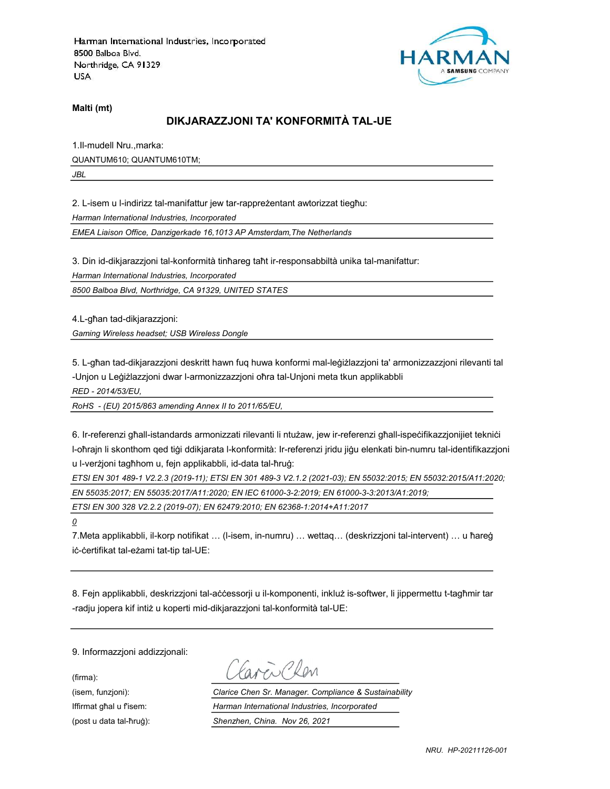

Malti (mt)

# DIKJARAZZJONI TA' KONFORMITÀ TAL-UE

1.Il-mudell Nru.,marka: QUANTUM610; QUANTUM610TM; JBL

2. L-isem u l-indirizz tal-manifattur jew tar-rappreżentant awtorizzat tiegħu: Harman International Industries, Incorporated

EMEA Liaison Office, Danzigerkade 16,1013 AP Amsterdam,The Netherlands

3. Din id-dikjarazzjoni tal-konformità tinħareg taħt ir-responsabbiltà unika tal-manifattur:

Harman International Industries, Incorporated

8500 Balboa Blvd, Northridge, CA 91329, UNITED STATES

4.L-għan tad-dikjarazzjoni:

Gaming Wireless headset; USB Wireless Dongle

5. L-għan tad-dikjarazzjoni deskritt hawn fuq huwa konformi mal-leġiżlazzjoni ta' armonizzazzjoni rilevanti tal -Unjon u Leġiżlazzjoni dwar l-armonizzazzjoni oħra tal-Unjoni meta tkun applikabbli

RED - 2014/53/EU,

RoHS - (EU) 2015/863 amending Annex II to 2011/65/EU,

6. Ir-referenzi għall-istandards armonizzati rilevanti li ntużaw, jew ir-referenzi għall-ispeċifikazzjonijiet tekniċi l-oħrajn li skonthom qed tiġi ddikjarata l-konformità: Ir-referenzi jridu jiġu elenkati bin-numru tal-identifikazzjoni u l-verżjoni tagħhom u, fejn applikabbli, id-data tal-ħruġ:

ETSI EN 301 489-1 V2.2.3 (2019-11); ETSI EN 301 489-3 V2.1.2 (2021-03); EN 55032:2015; EN 55032:2015/A11:2020; EN 55035:2017; EN 55035:2017/A11:2020; EN IEC 61000-3-2:2019; EN 61000-3-3:2013/A1:2019;

ETSI EN 300 328 V2.2.2 (2019-07); EN 62479:2010; EN 62368-1:2014+A11:2017

 $\overline{\mathcal{Q}}$ 

7.Meta applikabbli, il-korp notifikat … (l-isem, in-numru) … wettaq… (deskrizzjoni tal-intervent) … u ħareġ iċ-ċertifikat tal-eżami tat-tip tal-UE:

8. Fejn applikabbli, deskrizzjoni tal-aċċessorji u il-komponenti, inkluż is-softwer, li jippermettu t-tagħmir tar -radju jopera kif intiż u koperti mid-dikjarazzjoni tal-konformità tal-UE:

9. Informazzjoni addizzjonali:

(firma):

Caren Chen

(isem, funzjoni): Clarice Chen Sr. Manager. Compliance & Sustainability Iffirmat għal u f'isem: Harman International Industries, Incorporated (post u data tal-ħruġ): Shenzhen, China. Nov 26, 2021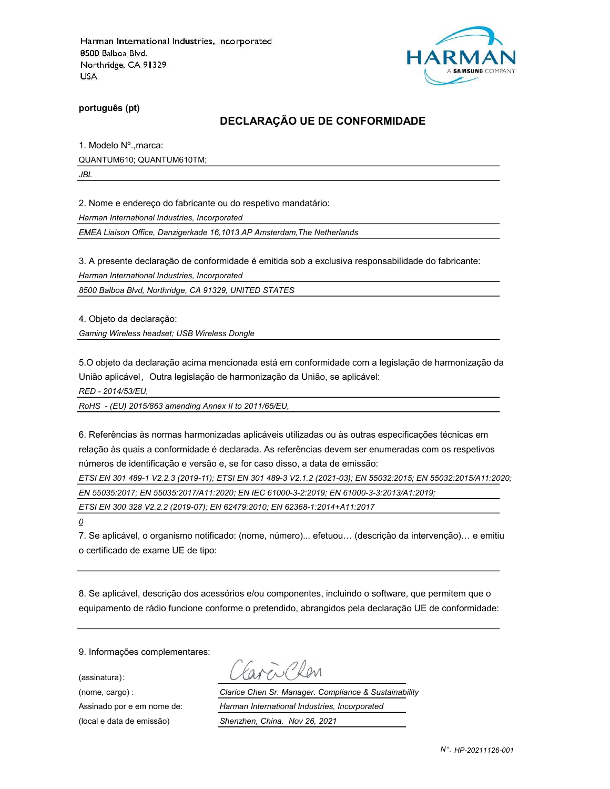

português (pt)

#### DECLARAÇÃO UE DE CONFORMIDADE

1. Modelo Nº.,marca: QUANTUM610; QUANTUM610TM;

JBL

2. Nome e endereço do fabricante ou do respetivo mandatário:

Harman International Industries, Incorporated

EMEA Liaison Office, Danzigerkade 16,1013 AP Amsterdam,The Netherlands

3. A presente declaração de conformidade é emitida sob a exclusiva responsabilidade do fabricante:

Harman International Industries, Incorporated

8500 Balboa Blvd, Northridge, CA 91329, UNITED STATES

4. Objeto da declaração:

Gaming Wireless headset; USB Wireless Dongle

5.O objeto da declaração acima mencionada está em conformidade com a legislação de harmonização da União aplicável, Outra legislação de harmonização da União, se aplicável:

RED - 2014/53/EU,

RoHS - (EU) 2015/863 amending Annex II to 2011/65/EU,

6. Referências às normas harmonizadas aplicáveis utilizadas ou às outras especificações técnicas em relação às quais a conformidade é declarada. As referências devem ser enumeradas com os respetivos números de identificação e versão e, se for caso disso, a data de emissão:

ETSI EN 301 489-1 V2.2.3 (2019-11); ETSI EN 301 489-3 V2.1.2 (2021-03); EN 55032:2015; EN 55032:2015/A11:2020;

EN 55035:2017; EN 55035:2017/A11:2020; EN IEC 61000-3-2:2019; EN 61000-3-3:2013/A1:2019;

ETSI EN 300 328 V2.2.2 (2019-07); EN 62479:2010; EN 62368-1:2014+A11:2017

0

7. Se aplicável, o organismo notificado: (nome, número)... efetuou… (descrição da intervenção)… e emitiu o certificado de exame UE de tipo:

8. Se aplicável, descrição dos acessórios e/ou componentes, incluindo o software, que permitem que o equipamento de rádio funcione conforme o pretendido, abrangidos pela declaração UE de conformidade:

9. Informações complementares:

(assinatura):

avendelen

(nome, cargo) : Clarice Chen Sr. Manager. Compliance & Sustainability Assinado por e em nome de: Harman International Industries, Incorporated (local e data de emissão) Shenzhen, China. Nov 26, 2021